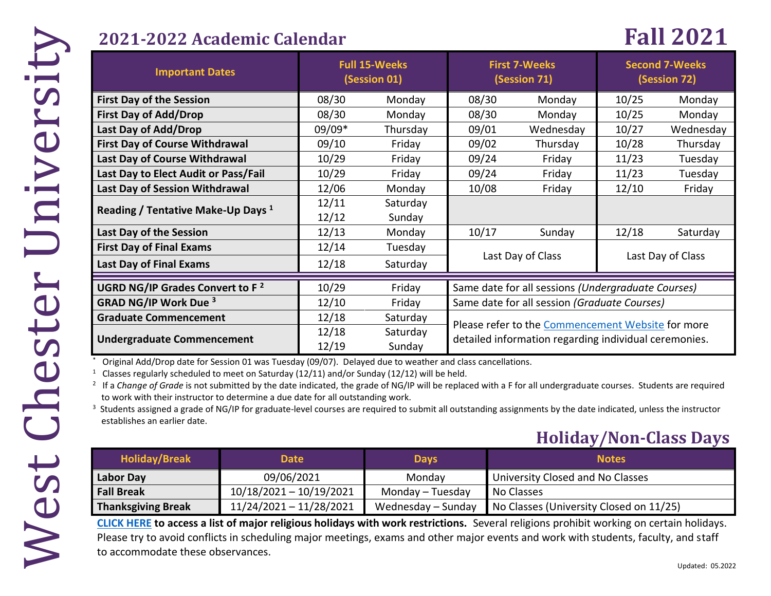# **2021-2022 Academic Calendar Fall 2021**

| <b>Important Dates</b>                        | <b>Full 15-Weeks</b><br>(Session 01) |          | <b>First 7-Weeks</b><br>(Session 71)                  |           | <b>Second 7-Weeks</b><br>(Session 72) |           |  |
|-----------------------------------------------|--------------------------------------|----------|-------------------------------------------------------|-----------|---------------------------------------|-----------|--|
| <b>First Day of the Session</b>               | 08/30                                | Monday   | 08/30                                                 | Monday    | 10/25                                 | Monday    |  |
| <b>First Day of Add/Drop</b>                  | 08/30                                | Monday   | 08/30                                                 | Monday    | 10/25                                 | Monday    |  |
| Last Day of Add/Drop                          | 09/09*                               | Thursday | 09/01                                                 | Wednesday | 10/27                                 | Wednesday |  |
| <b>First Day of Course Withdrawal</b>         | 09/10                                | Friday   | 09/02                                                 | Thursday  | 10/28                                 | Thursday  |  |
| Last Day of Course Withdrawal                 | 10/29                                | Friday   | 09/24                                                 | Friday    | 11/23                                 | Tuesday   |  |
| Last Day to Elect Audit or Pass/Fail          | 10/29                                | Friday   | 09/24                                                 | Friday    | 11/23                                 | Tuesday   |  |
| Last Day of Session Withdrawal                | 12/06                                | Monday   | 10/08                                                 | Friday    | 12/10                                 | Friday    |  |
| Reading / Tentative Make-Up Days <sup>1</sup> | 12/11                                | Saturday |                                                       |           |                                       |           |  |
|                                               | 12/12                                | Sunday   |                                                       |           |                                       |           |  |
| Last Day of the Session                       | 12/13                                | Monday   | 10/17                                                 | Sunday    | 12/18                                 | Saturday  |  |
| <b>First Day of Final Exams</b>               | 12/14                                | Tuesday  |                                                       |           |                                       |           |  |
| <b>Last Day of Final Exams</b>                | 12/18                                | Saturday | Last Day of Class                                     |           | Last Day of Class                     |           |  |
| UGRD NG/IP Grades Convert to F <sup>2</sup>   | 10/29                                | Friday   | Same date for all sessions (Undergraduate Courses)    |           |                                       |           |  |
| <b>GRAD NG/IP Work Due 3</b>                  | 12/10                                | Friday   | Same date for all session (Graduate Courses)          |           |                                       |           |  |
| <b>Graduate Commencement</b>                  | 12/18                                | Saturday |                                                       |           |                                       |           |  |
|                                               | 12/18                                | Saturday | Please refer to the Commencement Website for more     |           |                                       |           |  |
| <b>Undergraduate Commencement</b>             | 12/19                                | Sunday   | detailed information regarding individual ceremonies. |           |                                       |           |  |

### **Holiday/Non-Class Days**

| <b>Graduate Commencement</b>                                                    |                                                                                                            | 12/18 | Saturday           |  | Please refer to the Commencement Website for more                                                                                                                           |  |
|---------------------------------------------------------------------------------|------------------------------------------------------------------------------------------------------------|-------|--------------------|--|-----------------------------------------------------------------------------------------------------------------------------------------------------------------------------|--|
| <b>Undergraduate Commencement</b>                                               |                                                                                                            | 12/18 | Saturday           |  | detailed information regarding individual ceremonies.                                                                                                                       |  |
|                                                                                 |                                                                                                            | 12/19 | Sunday             |  |                                                                                                                                                                             |  |
|                                                                                 | Original Add/Drop date for Session 01 was Tuesday (09/07). Delayed due to weather and class cancellations. |       |                    |  |                                                                                                                                                                             |  |
|                                                                                 | <sup>1</sup> Classes regularly scheduled to meet on Saturday (12/11) and/or Sunday (12/12) will be held.   |       |                    |  |                                                                                                                                                                             |  |
|                                                                                 |                                                                                                            |       |                    |  | <sup>2</sup> If a Change of Grade is not submitted by the date indicated, the grade of NG/IP will be replaced with a F for all undergraduate courses. Students are required |  |
| to work with their instructor to determine a due date for all outstanding work. |                                                                                                            |       |                    |  |                                                                                                                                                                             |  |
|                                                                                 |                                                                                                            |       |                    |  | <sup>3</sup> Students assigned a grade of NG/IP for graduate-level courses are required to submit all outstanding assignments by the date indicated, unless the instructor  |  |
| establishes an earlier date.                                                    |                                                                                                            |       |                    |  |                                                                                                                                                                             |  |
|                                                                                 |                                                                                                            |       |                    |  |                                                                                                                                                                             |  |
|                                                                                 |                                                                                                            |       |                    |  | <b>Holiday/Non-Class Days</b>                                                                                                                                               |  |
| <b>Holiday/Break</b>                                                            | <b>Date</b>                                                                                                |       | <b>Days</b>        |  | <b>Notes</b>                                                                                                                                                                |  |
| <b>Labor Day</b>                                                                | 09/06/2021                                                                                                 |       | Monday             |  | University Closed and No Classes                                                                                                                                            |  |
| <b>Fall Break</b>                                                               | $10/18/2021 - 10/19/2021$                                                                                  |       | Monday - Tuesday   |  | No Classes                                                                                                                                                                  |  |
| <b>Thanksgiving Break</b>                                                       | 11/24/2021 - 11/28/2021                                                                                    |       | Wednesday - Sunday |  | No Classes (University Closed on 11/25)                                                                                                                                     |  |
|                                                                                 |                                                                                                            |       |                    |  | <b>CLICK HERE</b> to access a list of major religious holidays with work restrictions. Several religions prohibit working on certain holidays.                              |  |
|                                                                                 |                                                                                                            |       |                    |  | Please try to avoid conflicts in scheduling major meetings, exams and other major events and work with students, faculty, and staff                                         |  |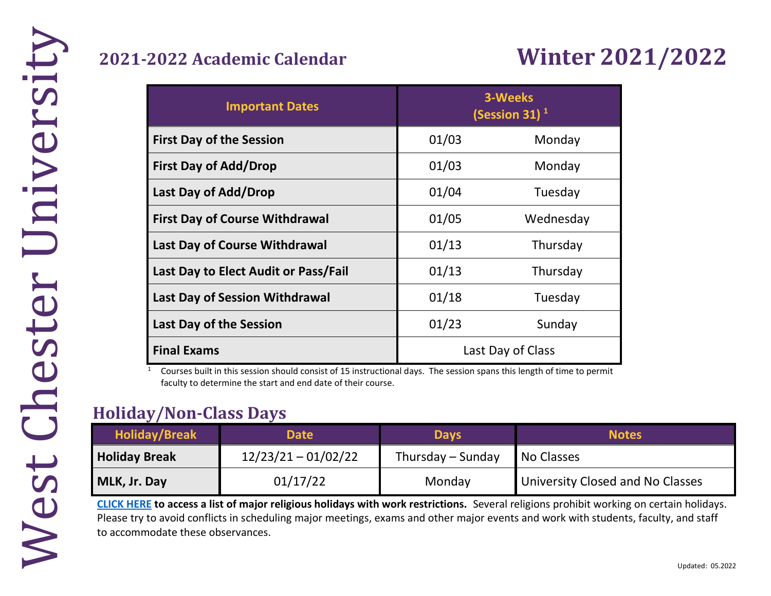# **2021-2022 Academic Calendar Winter 2021/2022**

| <b>Important Dates</b>                | 3-Weeks<br>(Session 31) $1$ |           |  |  |
|---------------------------------------|-----------------------------|-----------|--|--|
| <b>First Day of the Session</b>       | 01/03                       | Monday    |  |  |
| <b>First Day of Add/Drop</b>          | 01/03                       | Monday    |  |  |
| Last Day of Add/Drop                  | 01/04                       | Tuesday   |  |  |
| <b>First Day of Course Withdrawal</b> | 01/05                       | Wednesday |  |  |
| Last Day of Course Withdrawal         | 01/13                       | Thursday  |  |  |
| Last Day to Elect Audit or Pass/Fail  | 01/13<br>Thursday           |           |  |  |
| <b>Last Day of Session Withdrawal</b> | 01/18                       | Tuesday   |  |  |
| <b>Last Day of the Session</b>        | 01/23<br>Sunday             |           |  |  |
| <b>Final Exams</b>                    | Last Day of Class           |           |  |  |

 $1$  Courses built in this session should consist of 15 instructional days. The session spans this length of time to permit faculty to determine the start and end date of their course.

# **Holiday/Non-Class Days**  Holid<br>P

| <b>Holiday/Break</b> | <b>Date</b>           | <b>Days</b>       | <b>Notes</b>                     |
|----------------------|-----------------------|-------------------|----------------------------------|
| <b>Holiday Break</b> | $12/23/21 - 01/02/22$ | Thursday – Sunday | No Classes                       |
| MLK, Jr. Day         | 01/17/22              | Monday            | University Closed and No Classes |

**[CLICK HERE](https://www.wcupa.edu/_admin/diversityEquityInclusion/observances.aspx) to access a list of major religious holidays with work restrictions.** Several religions prohibit working on certain holidays. Please try to avoid conflicts in scheduling major meetings, exams and other major events and work with students, faculty, and staff to accommodate these observances.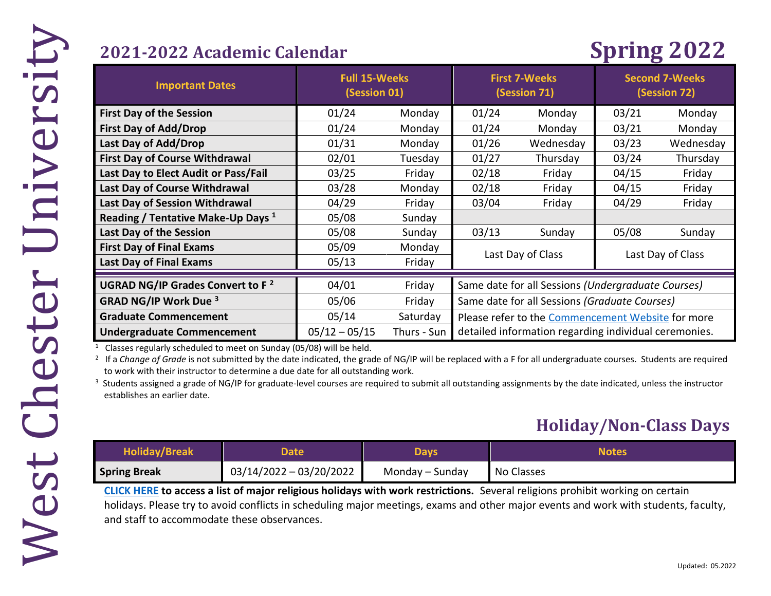# **2021-2022 Academic Calendar Spring 2022**

| <b>Important Dates</b>                        | <b>Full 15-Weeks</b><br>(Session 01) |             | <b>First 7-Weeks</b><br>(Session 71)                  |           | <b>Second 7-Weeks</b><br>(Session 72) |           |
|-----------------------------------------------|--------------------------------------|-------------|-------------------------------------------------------|-----------|---------------------------------------|-----------|
| <b>First Day of the Session</b>               | 01/24                                | Monday      | 01/24                                                 | Monday    | 03/21                                 | Monday    |
| <b>First Day of Add/Drop</b>                  | 01/24                                | Monday      | 01/24                                                 | Monday    | 03/21                                 | Monday    |
| Last Day of Add/Drop                          | 01/31                                | Monday      | 01/26                                                 | Wednesday | 03/23                                 | Wednesday |
| <b>First Day of Course Withdrawal</b>         | 02/01                                | Tuesday     | 01/27                                                 | Thursday  | 03/24                                 | Thursday  |
| Last Day to Elect Audit or Pass/Fail          | 03/25                                | Friday      | 02/18                                                 | Friday    | 04/15                                 | Friday    |
| Last Day of Course Withdrawal                 | 03/28                                | Monday      | 02/18                                                 | Friday    | 04/15                                 | Friday    |
| Last Day of Session Withdrawal                | 04/29                                | Friday      | 03/04                                                 | Friday    | 04/29                                 | Friday    |
| Reading / Tentative Make-Up Days <sup>1</sup> | 05/08                                | Sunday      |                                                       |           |                                       |           |
| Last Day of the Session                       | 05/08                                | Sunday      | 03/13                                                 | Sunday    | 05/08                                 | Sunday    |
| <b>First Day of Final Exams</b>               | 05/09                                | Monday      | Last Day of Class                                     |           |                                       |           |
| <b>Last Day of Final Exams</b>                | 05/13                                | Friday      | Last Day of Class                                     |           |                                       |           |
| UGRAD NG/IP Grades Convert to F <sup>2</sup>  | 04/01                                | Friday      | Same date for all Sessions (Undergraduate Courses)    |           |                                       |           |
| <b>GRAD NG/IP Work Due 3</b>                  | 05/06                                | Friday      | Same date for all Sessions (Graduate Courses)         |           |                                       |           |
| <b>Graduate Commencement</b>                  | 05/14                                | Saturday    | Please refer to the Commencement Website for more     |           |                                       |           |
| <b>Undergraduate Commencement</b>             | $05/12 - 05/15$                      | Thurs - Sun | detailed information regarding individual ceremonies. |           |                                       |           |

 $1$  Classes regularly scheduled to meet on Sunday (05/08) will be held.

<sup>2</sup> If a Change of Grade is not submitted by the date indicated, the grade of NG/IP will be replaced with a F for all undergraduate courses. Students are required to work with their instructor to determine a due date for all outstanding work.

<sup>3</sup> Students assigned a grade of NG/IP for graduate-level courses are required to submit all outstanding assignments by the date indicated, unless the instructor establishes an earlier date.

### **Holiday/Non-Class Days**

| <b>Holiday/Break</b> | Date                    | Davs            | <b>Notes</b> |
|----------------------|-------------------------|-----------------|--------------|
| <b>Spring Break</b>  | 03/14/2022 - 03/20/2022 | Monday – Sunday | No Classes   |

**[CLICK HERE](https://www.wcupa.edu/_admin/diversityEquityInclusion/observances.aspx) to access a list of major religious holidays with work restrictions.** Several religions prohibit working on certain holidays. Please try to avoid conflicts in scheduling major meetings, exams and other major events and work with students, faculty, and staff to accommodate these observances.